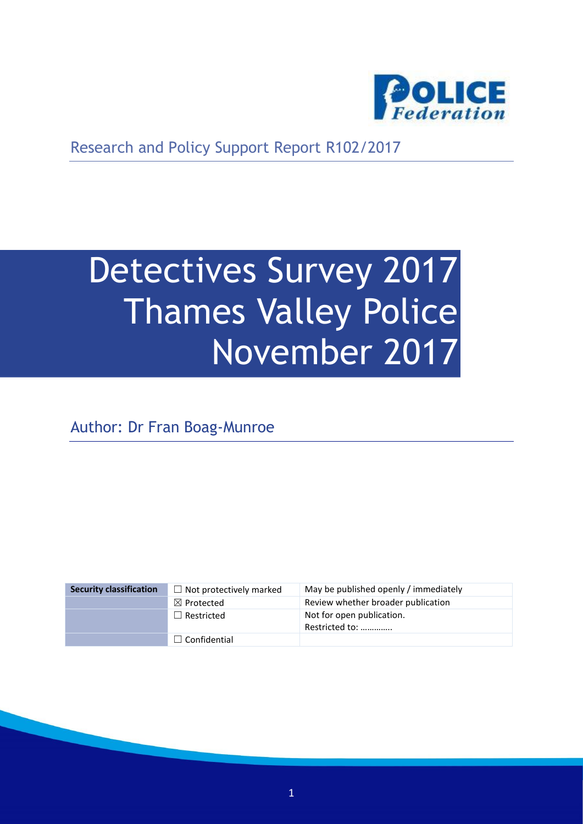

Research and Policy Support Report R102/2017

# Detectives Survey 2017 Thames Valley Police November 2017

Author: Dr Fran Boag-Munroe

| <b>Security classification</b> | $\Box$ Not protectively marked | May be published openly / immediately       |
|--------------------------------|--------------------------------|---------------------------------------------|
|                                | $\boxtimes$ Protected          | Review whether broader publication          |
|                                | $\Box$ Restricted              | Not for open publication.<br>Restricted to: |
|                                | $\Box$ Confidential            |                                             |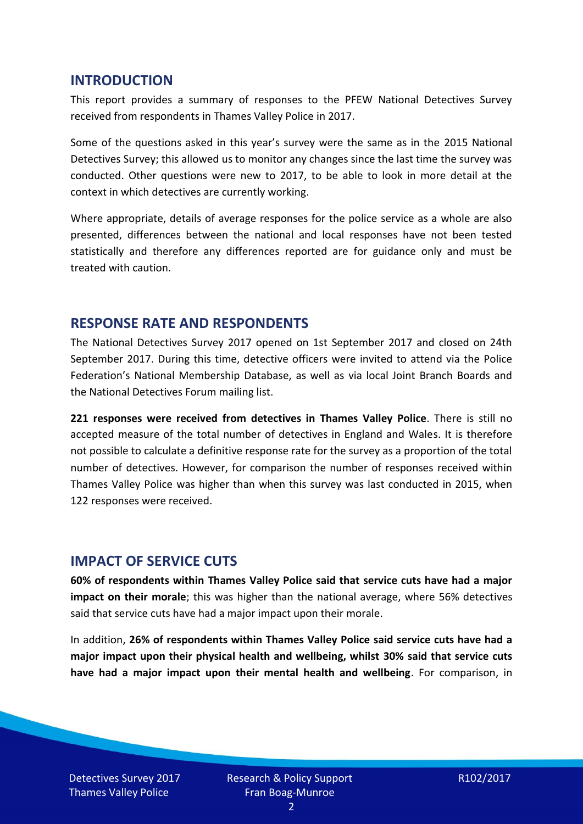#### **INTRODUCTION**

This report provides a summary of responses to the PFEW National Detectives Survey received from respondents in Thames Valley Police in 2017.

Some of the questions asked in this year's survey were the same as in the 2015 National Detectives Survey; this allowed us to monitor any changes since the last time the survey was conducted. Other questions were new to 2017, to be able to look in more detail at the context in which detectives are currently working.

Where appropriate, details of average responses for the police service as a whole are also presented, differences between the national and local responses have not been tested statistically and therefore any differences reported are for guidance only and must be treated with caution.

#### **RESPONSE RATE AND RESPONDENTS**

The National Detectives Survey 2017 opened on 1st September 2017 and closed on 24th September 2017. During this time, detective officers were invited to attend via the Police Federation's National Membership Database, as well as via local Joint Branch Boards and the National Detectives Forum mailing list.

**221 responses were received from detectives in Thames Valley Police**. There is still no accepted measure of the total number of detectives in England and Wales. It is therefore not possible to calculate a definitive response rate for the survey as a proportion of the total number of detectives. However, for comparison the number of responses received within Thames Valley Police was higher than when this survey was last conducted in 2015, when 122 responses were received.

#### **IMPACT OF SERVICE CUTS**

**60% of respondents within Thames Valley Police said that service cuts have had a major impact on their morale**; this was higher than the national average, where 56% detectives said that service cuts have had a major impact upon their morale.

In addition, **26% of respondents within Thames Valley Police said service cuts have had a major impact upon their physical health and wellbeing, whilst 30% said that service cuts have had a major impact upon their mental health and wellbeing**. For comparison, in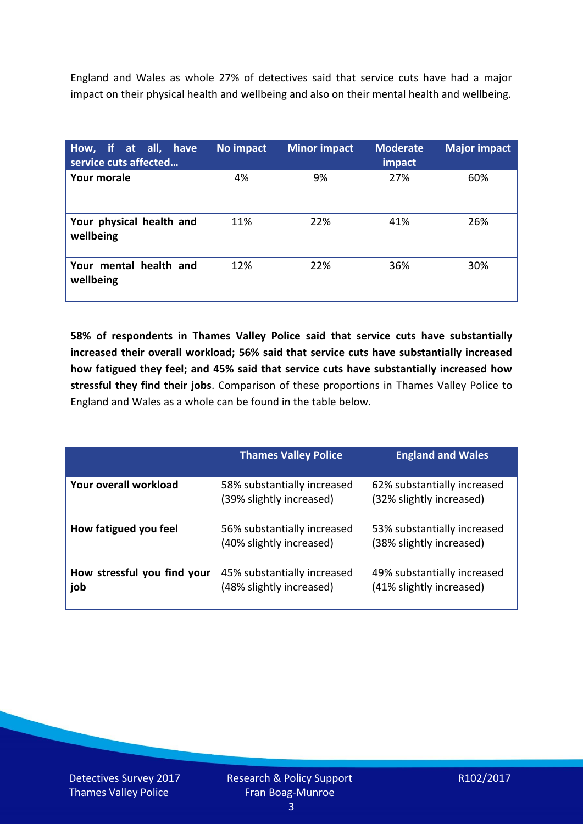England and Wales as whole 27% of detectives said that service cuts have had a major impact on their physical health and wellbeing and also on their mental health and wellbeing.

| How, if at all, have<br>service cuts affected | No impact | <b>Minor impact</b> | <b>Moderate</b><br>impact | <b>Major impact</b> |
|-----------------------------------------------|-----------|---------------------|---------------------------|---------------------|
| Your morale                                   | 4%        | 9%                  | 27%                       | 60%                 |
| Your physical health and<br>wellbeing         | 11%       | 22%                 | 41%                       | 26%                 |
| Your mental health and<br>wellbeing           | 12%       | 22%                 | 36%                       | 30%                 |

**58% of respondents in Thames Valley Police said that service cuts have substantially increased their overall workload; 56% said that service cuts have substantially increased how fatigued they feel; and 45% said that service cuts have substantially increased how stressful they find their jobs**. Comparison of these proportions in Thames Valley Police to England and Wales as a whole can be found in the table below.

|                                    | <b>Thames Valley Police</b>                             | <b>England and Wales</b>                                |
|------------------------------------|---------------------------------------------------------|---------------------------------------------------------|
| Your overall workload              | 58% substantially increased<br>(39% slightly increased) | 62% substantially increased<br>(32% slightly increased) |
| How fatigued you feel              | 56% substantially increased<br>(40% slightly increased) | 53% substantially increased<br>(38% slightly increased) |
| How stressful you find your<br>job | 45% substantially increased<br>(48% slightly increased) | 49% substantially increased<br>(41% slightly increased) |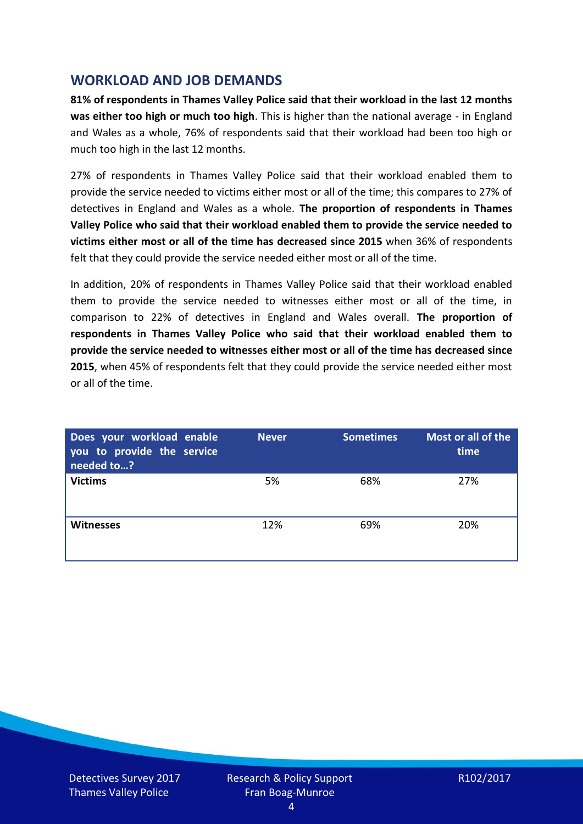## **WORKLOAD AND JOB DEMANDS**

**81% of respondents in Thames Valley Police said that their workload in the last 12 months was either too high or much too high**. This is higher than the national average - in England and Wales as a whole, 76% of respondents said that their workload had been too high or much too high in the last 12 months.

27% of respondents in Thames Valley Police said that their workload enabled them to provide the service needed to victims either most or all of the time; this compares to 27% of detectives in England and Wales as a whole. **The proportion of respondents in Thames Valley Police who said that their workload enabled them to provide the service needed to victims either most or all of the time has decreased since 2015** when 36% of respondents felt that they could provide the service needed either most or all of the time.

In addition, 20% of respondents in Thames Valley Police said that their workload enabled them to provide the service needed to witnesses either most or all of the time, in comparison to 22% of detectives in England and Wales overall. **The proportion of respondents in Thames Valley Police who said that their workload enabled them to provide the service needed to witnesses either most or all of the time has decreased since 2015**, when 45% of respondents felt that they could provide the service needed either most or all of the time.

| Does your workload enable<br>you to provide the service<br>needed to? | <b>Never</b> | <b>Sometimes</b> | Most or all of the<br>time |
|-----------------------------------------------------------------------|--------------|------------------|----------------------------|
| <b>Victims</b>                                                        | 5%           | 68%              | 27%                        |
| <b>Witnesses</b>                                                      | 12%          | 69%              | 20%                        |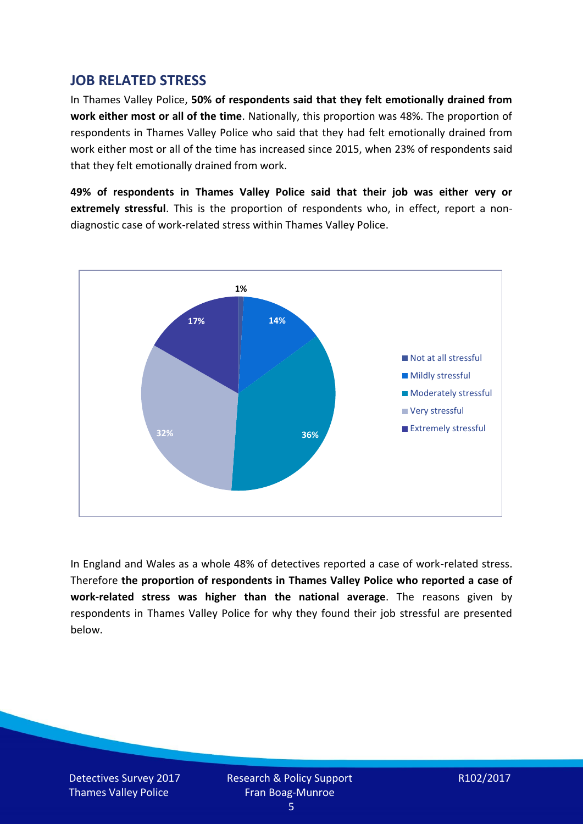## **JOB RELATED STRESS**

In Thames Valley Police, **50% of respondents said that they felt emotionally drained from work either most or all of the time**. Nationally, this proportion was 48%. The proportion of respondents in Thames Valley Police who said that they had felt emotionally drained from work either most or all of the time has increased since 2015, when 23% of respondents said that they felt emotionally drained from work.

**49% of respondents in Thames Valley Police said that their job was either very or extremely stressful**. This is the proportion of respondents who, in effect, report a nondiagnostic case of work-related stress within Thames Valley Police.



In England and Wales as a whole 48% of detectives reported a case of work-related stress. Therefore **the proportion of respondents in Thames Valley Police who reported a case of work-related stress was higher than the national average**. The reasons given by respondents in Thames Valley Police for why they found their job stressful are presented below.

Detectives Survey 2017 Thames Valley Police

Research & Policy Support Fran Boag-Munroe

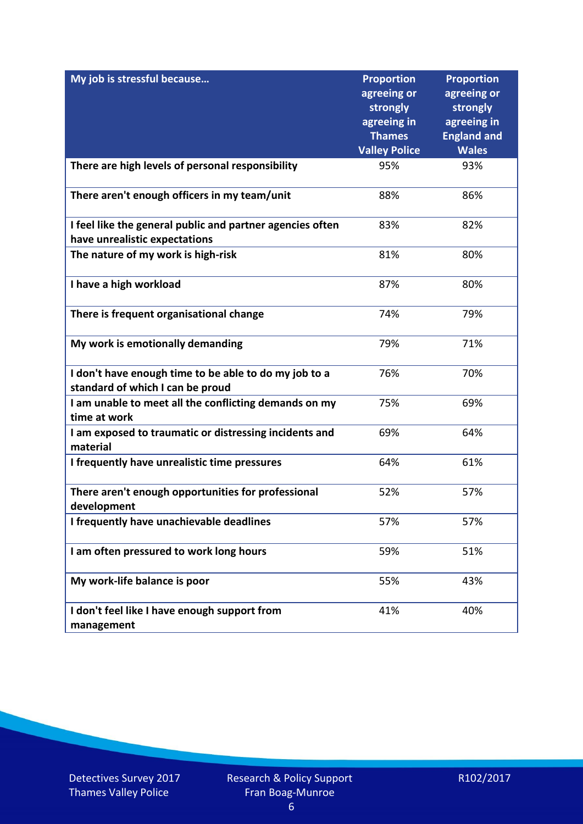| My job is stressful because                                                                | <b>Proportion</b><br>agreeing or | <b>Proportion</b><br>agreeing or |
|--------------------------------------------------------------------------------------------|----------------------------------|----------------------------------|
|                                                                                            | strongly                         | strongly                         |
|                                                                                            | agreeing in                      | agreeing in                      |
|                                                                                            | <b>Thames</b>                    | <b>England and</b>               |
|                                                                                            | <b>Valley Police</b>             | <b>Wales</b><br>93%              |
| There are high levels of personal responsibility                                           | 95%                              |                                  |
| There aren't enough officers in my team/unit                                               | 88%                              | 86%                              |
| I feel like the general public and partner agencies often<br>have unrealistic expectations | 83%                              | 82%                              |
| The nature of my work is high-risk                                                         | 81%                              | 80%                              |
|                                                                                            |                                  |                                  |
| I have a high workload                                                                     | 87%                              | 80%                              |
| There is frequent organisational change                                                    | 74%                              | 79%                              |
| My work is emotionally demanding                                                           | 79%                              | 71%                              |
| I don't have enough time to be able to do my job to a                                      | 76%                              | 70%                              |
| standard of which I can be proud                                                           |                                  |                                  |
| I am unable to meet all the conflicting demands on my<br>time at work                      | 75%                              | 69%                              |
| I am exposed to traumatic or distressing incidents and<br>material                         | 69%                              | 64%                              |
| I frequently have unrealistic time pressures                                               | 64%                              | 61%                              |
| There aren't enough opportunities for professional<br>development                          | 52%                              | 57%                              |
| I frequently have unachievable deadlines                                                   | 57%                              | 57%                              |
| I am often pressured to work long hours                                                    | 59%                              | 51%                              |
| My work-life balance is poor                                                               | 55%                              | 43%                              |
| I don't feel like I have enough support from<br>management                                 | 41%                              | 40%                              |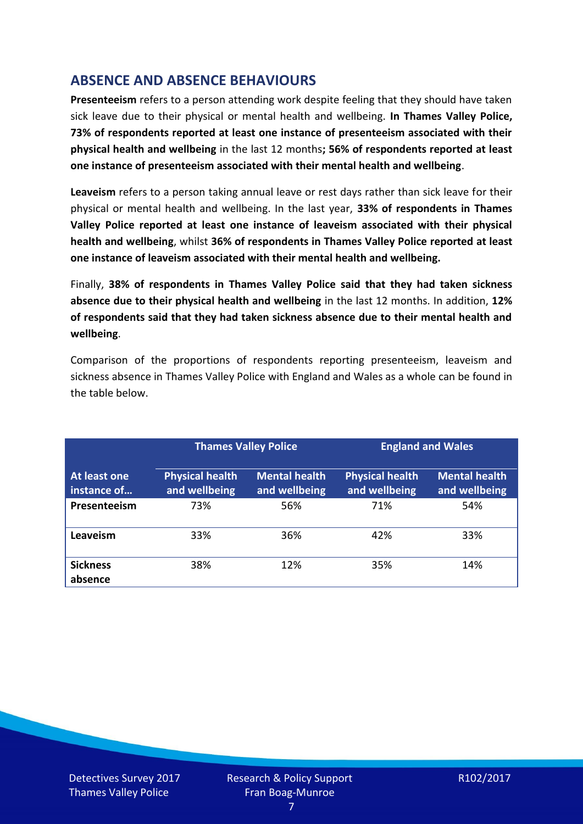# **ABSENCE AND ABSENCE BEHAVIOURS**

**Presenteeism** refers to a person attending work despite feeling that they should have taken sick leave due to their physical or mental health and wellbeing. **In Thames Valley Police, 73% of respondents reported at least one instance of presenteeism associated with their physical health and wellbeing** in the last 12 months**; 56% of respondents reported at least one instance of presenteeism associated with their mental health and wellbeing**.

**Leaveism** refers to a person taking annual leave or rest days rather than sick leave for their physical or mental health and wellbeing. In the last year, **33% of respondents in Thames Valley Police reported at least one instance of leaveism associated with their physical health and wellbeing**, whilst **36% of respondents in Thames Valley Police reported at least one instance of leaveism associated with their mental health and wellbeing.**

Finally, **38% of respondents in Thames Valley Police said that they had taken sickness absence due to their physical health and wellbeing** in the last 12 months. In addition, **12% of respondents said that they had taken sickness absence due to their mental health and wellbeing**.

Comparison of the proportions of respondents reporting presenteeism, leaveism and sickness absence in Thames Valley Police with England and Wales as a whole can be found in the table below.

|                             |                                         | <b>Thames Valley Police</b>           |                                         | <b>England and Wales</b>              |
|-----------------------------|-----------------------------------------|---------------------------------------|-----------------------------------------|---------------------------------------|
| At least one<br>instance of | <b>Physical health</b><br>and wellbeing | <b>Mental health</b><br>and wellbeing | <b>Physical health</b><br>and wellbeing | <b>Mental health</b><br>and wellbeing |
| Presenteeism                | 73%                                     | 56%                                   | 71%                                     | 54%                                   |
| Leaveism                    | 33%                                     | 36%                                   | 42%                                     | 33%                                   |
| <b>Sickness</b><br>absence  | 38%                                     | 12%                                   | 35%                                     | 14%                                   |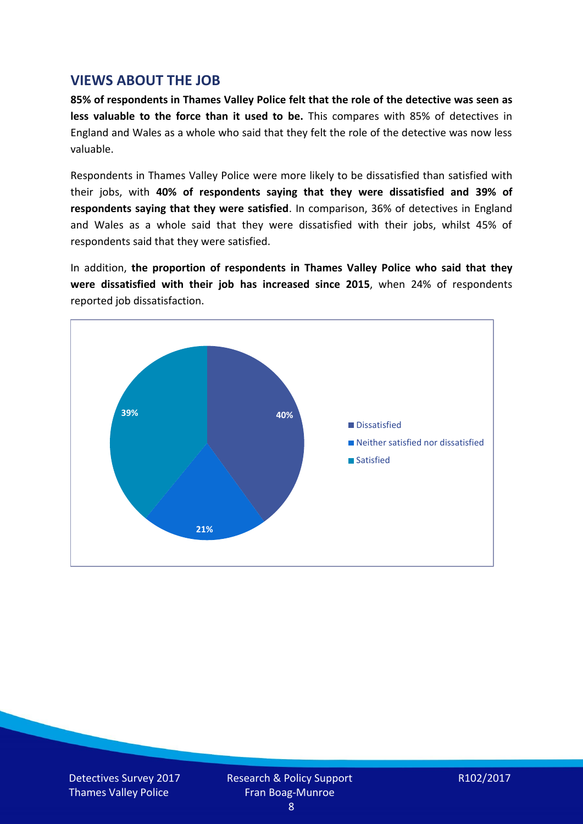## **VIEWS ABOUT THE JOB**

**85% of respondents in Thames Valley Police felt that the role of the detective was seen as less valuable to the force than it used to be.** This compares with 85% of detectives in England and Wales as a whole who said that they felt the role of the detective was now less valuable.

Respondents in Thames Valley Police were more likely to be dissatisfied than satisfied with their jobs, with **40% of respondents saying that they were dissatisfied and 39% of respondents saying that they were satisfied**. In comparison, 36% of detectives in England and Wales as a whole said that they were dissatisfied with their jobs, whilst 45% of respondents said that they were satisfied.

In addition, **the proportion of respondents in Thames Valley Police who said that they were dissatisfied with their job has increased since 2015**, when 24% of respondents reported job dissatisfaction.



Detectives Survey 2017 Thames Valley Police

Research & Policy Support Fran Boag-Munroe

R102/2017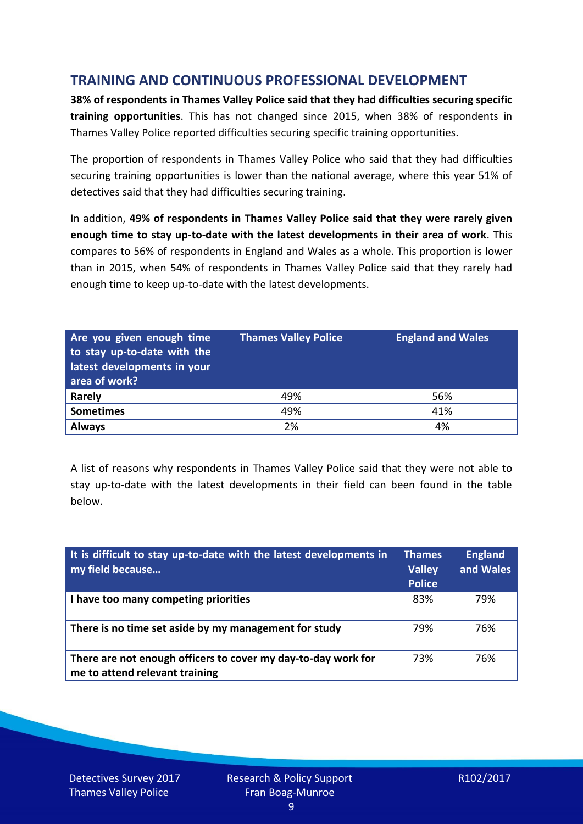# **TRAINING AND CONTINUOUS PROFESSIONAL DEVELOPMENT**

**38% of respondents in Thames Valley Police said that they had difficulties securing specific training opportunities**. This has not changed since 2015, when 38% of respondents in Thames Valley Police reported difficulties securing specific training opportunities.

The proportion of respondents in Thames Valley Police who said that they had difficulties securing training opportunities is lower than the national average, where this year 51% of detectives said that they had difficulties securing training.

In addition, **49% of respondents in Thames Valley Police said that they were rarely given enough time to stay up-to-date with the latest developments in their area of work**. This compares to 56% of respondents in England and Wales as a whole. This proportion is lower than in 2015, when 54% of respondents in Thames Valley Police said that they rarely had enough time to keep up-to-date with the latest developments.

| Are you given enough time<br>to stay up-to-date with the<br>latest developments in your<br>area of work? | <b>Thames Valley Police</b> | <b>England and Wales</b> |
|----------------------------------------------------------------------------------------------------------|-----------------------------|--------------------------|
| <b>Rarely</b>                                                                                            | 49%                         | 56%                      |
| <b>Sometimes</b>                                                                                         | 49%                         | 41%                      |
| <b>Always</b>                                                                                            | 2%                          | 4%                       |

A list of reasons why respondents in Thames Valley Police said that they were not able to stay up-to-date with the latest developments in their field can been found in the table below.

| It is difficult to stay up-to-date with the latest developments in<br>my field because          | <b>Thames</b><br><b>Valley</b><br><b>Police</b> | <b>England</b><br>and Wales |
|-------------------------------------------------------------------------------------------------|-------------------------------------------------|-----------------------------|
| I have too many competing priorities                                                            | 83%                                             | 79%                         |
| There is no time set aside by my management for study                                           | 79%                                             | 76%                         |
| There are not enough officers to cover my day-to-day work for<br>me to attend relevant training | 73%                                             | 76%                         |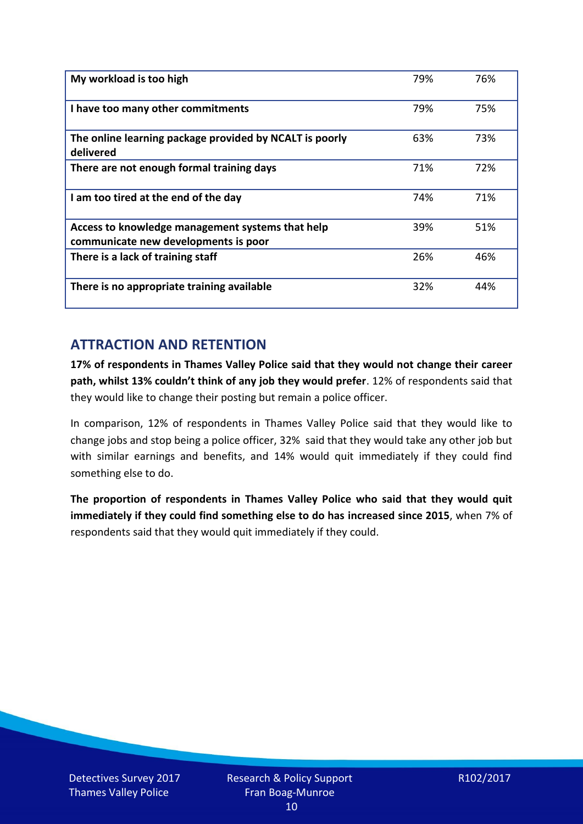| My workload is too high                                                                  | 79% | 76% |
|------------------------------------------------------------------------------------------|-----|-----|
| I have too many other commitments                                                        | 79% | 75% |
| The online learning package provided by NCALT is poorly<br>delivered                     | 63% | 73% |
| There are not enough formal training days                                                | 71% | 72% |
| I am too tired at the end of the day                                                     | 74% | 71% |
| Access to knowledge management systems that help<br>communicate new developments is poor | 39% | 51% |
| There is a lack of training staff                                                        | 26% | 46% |
| There is no appropriate training available                                               | 32% | 44% |

# **ATTRACTION AND RETENTION**

**17% of respondents in Thames Valley Police said that they would not change their career path, whilst 13% couldn't think of any job they would prefer**. 12% of respondents said that they would like to change their posting but remain a police officer.

In comparison, 12% of respondents in Thames Valley Police said that they would like to change jobs and stop being a police officer, 32% said that they would take any other job but with similar earnings and benefits, and 14% would quit immediately if they could find something else to do.

**The proportion of respondents in Thames Valley Police who said that they would quit immediately if they could find something else to do has increased since 2015**, when 7% of respondents said that they would quit immediately if they could.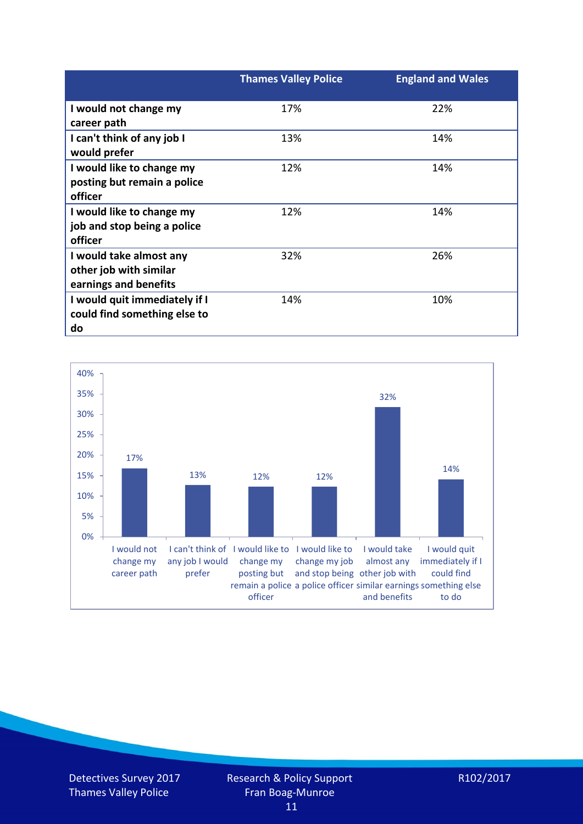|                               | <b>Thames Valley Police</b> | <b>England and Wales</b> |
|-------------------------------|-----------------------------|--------------------------|
| I would not change my         | 17%                         | 22%                      |
| career path                   |                             |                          |
| I can't think of any job I    | 13%                         | 14%                      |
| would prefer                  |                             |                          |
| I would like to change my     | 12%                         | 14%                      |
| posting but remain a police   |                             |                          |
| officer                       |                             |                          |
| I would like to change my     | 12%                         | 14%                      |
| job and stop being a police   |                             |                          |
| officer                       |                             |                          |
| I would take almost any       | 32%                         | 26%                      |
| other job with similar        |                             |                          |
| earnings and benefits         |                             |                          |
| I would quit immediately if I | 14%                         | 10%                      |
| could find something else to  |                             |                          |
| do                            |                             |                          |



Detectives Survey 2017 Thames Valley Police

R102/2017